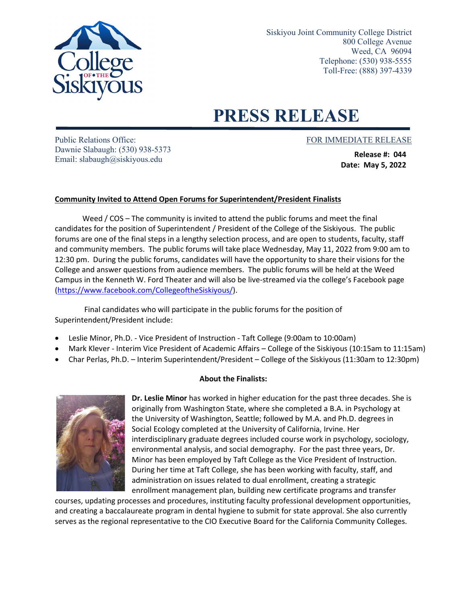

Siskiyou Joint Community College District 800 College Avenue Weed, CA 96094 Telephone: (530) 938-5555 Toll-Free: (888) 397-4339

## **PRESS RELEASE**

Public Relations Office: FOR IMMEDIATE RELEASE Dawnie Slabaugh: (530) 938-5373 Email: slabaugh@siskiyous.edu

**Release #: 044 Date: May 5, 2022**

## **Community Invited to Attend Open Forums for Superintendent/President Finalists**

Weed / COS – The community is invited to attend the public forums and meet the final candidates for the position of Superintendent / President of the College of the Siskiyous. The public forums are one of the final steps in a lengthy selection process, and are open to students, faculty, staff and community members. The public forums will take place Wednesday, May 11, 2022 from 9:00 am to 12:30 pm. During the public forums, candidates will have the opportunity to share their visions for the College and answer questions from audience members. The public forums will be held at the Weed Campus in the Kenneth W. Ford Theater and will also be live-streamed via the college's Facebook page [\(https://www.facebook.com/CollegeoftheSiskiyous/](https://www.facebook.com/CollegeoftheSiskiyous/)).

Final candidates who will participate in the public forums for the position of Superintendent/President include:

- Leslie Minor, Ph.D. Vice President of Instruction Taft College (9:00am to 10:00am)
- Mark Klever Interim Vice President of Academic Affairs College of the Siskiyous (10:15am to 11:15am)
- Char Perlas, Ph.D. Interim Superintendent/President College of the Siskiyous (11:30am to 12:30pm)

## **About the Finalists:**



**Dr. Leslie Minor** has worked in higher education for the past three decades. She is originally from Washington State, where she completed a B.A. in Psychology at the University of Washington, Seattle; followed by M.A. and Ph.D. degrees in Social Ecology completed at the University of California, Irvine. Her interdisciplinary graduate degrees included course work in psychology, sociology, environmental analysis, and social demography. For the past three years, Dr. Minor has been employed by Taft College as the Vice President of Instruction. During her time at Taft College, she has been working with faculty, staff, and administration on issues related to dual enrollment, creating a strategic enrollment management plan, building new certificate programs and transfer

courses, updating processes and procedures, instituting faculty professional development opportunities, and creating a baccalaureate program in dental hygiene to submit for state approval. She also currently serves as the regional representative to the CIO Executive Board for the California Community Colleges.